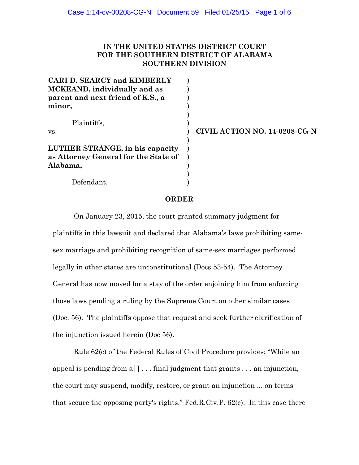## **IN THE UNITED STATES DISTRICT COURT FOR THE SOUTHERN DISTRICT OF ALABAMA SOUTHERN DIVISION**

| <b>CARI D. SEARCY and KIMBERLY</b><br>MCKEAND, individually and as<br>parent and next friend of K.S., a |  |
|---------------------------------------------------------------------------------------------------------|--|
| minor,                                                                                                  |  |
| Plaintiffs.                                                                                             |  |
| VS.                                                                                                     |  |
| LUTHER STRANGE, in his capacity<br>as Attorney General for the State of                                 |  |
| Alabama,                                                                                                |  |
|                                                                                                         |  |
| Defendant.                                                                                              |  |

vs. **CIVIL ACTION NO. 14-0208-CG-N**

#### **ORDER**

On January 23, 2015, the court granted summary judgment for plaintiffs in this lawsuit and declared that Alabama's laws prohibiting samesex marriage and prohibiting recognition of same-sex marriages performed legally in other states are unconstitutional (Docs 53-54). The Attorney General has now moved for a stay of the order enjoining him from enforcing those laws pending a ruling by the Supreme Court on other similar cases (Doc. 56). The plaintiffs oppose that request and seek further clarification of the injunction issued herein (Doc 56).

Rule 62(c) of the Federal Rules of Civil Procedure provides: "While an appeal is pending from a[ ] . . . final judgment that grants . . . an injunction, the court may suspend, modify, restore, or grant an injunction ... on terms that secure the opposing party's rights." Fed.R.Civ.P. 62(c). In this case there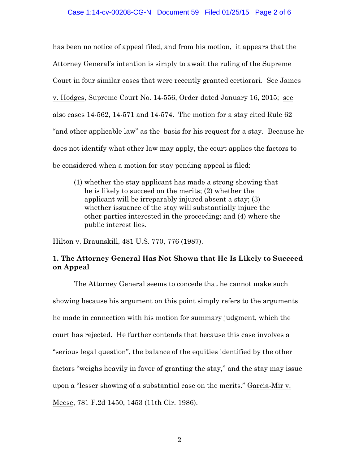#### Case 1:14-cv-00208-CG-N Document 59 Filed 01/25/15 Page 2 of 6

has been no notice of appeal filed, and from his motion, it appears that the Attorney General's intention is simply to await the ruling of the Supreme Court in four similar cases that were recently granted certiorari. See James v. Hodges, Supreme Court No. 14-556, Order dated January 16, 2015; see also cases 14-562, 14-571 and 14-574. The motion for a stay cited Rule 62 "and other applicable law" as the basis for his request for a stay. Because he does not identify what other law may apply, the court applies the factors to be considered when a motion for stay pending appeal is filed:

(1) whether the stay applicant has made a strong showing that he is likely to succeed on the merits; (2) whether the applicant will be irreparably injured absent a stay; (3) whether issuance of the stay will substantially injure the other parties interested in the proceeding; and (4) where the public interest lies.

Hilton v. Braunskill, 481 U.S. 770, 776 (1987).

## **1. The Attorney General Has Not Shown that He Is Likely to Succeed on Appeal**

The Attorney General seems to concede that he cannot make such showing because his argument on this point simply refers to the arguments he made in connection with his motion for summary judgment, which the court has rejected. He further contends that because this case involves a "serious legal question", the balance of the equities identified by the other factors "weighs heavily in favor of granting the stay," and the stay may issue upon a "lesser showing of a substantial case on the merits." Garcia-Mir v. Meese, 781 F.2d 1450, 1453 (11th Cir. 1986).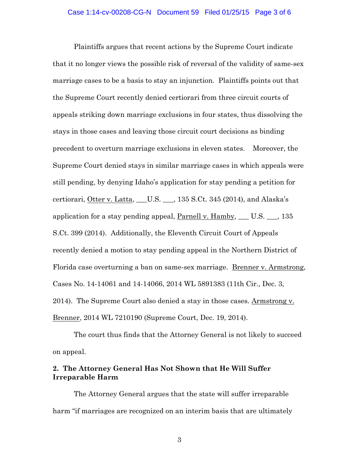Plaintiffs argues that recent actions by the Supreme Court indicate that it no longer views the possible risk of reversal of the validity of same-sex marriage cases to be a basis to stay an injunction. Plaintiffs points out that the Supreme Court recently denied certiorari from three circuit courts of appeals striking down marriage exclusions in four states, thus dissolving the stays in those cases and leaving those circuit court decisions as binding precedent to overturn marriage exclusions in eleven states. Moreover, the Supreme Court denied stays in similar marriage cases in which appeals were still pending, by denying Idaho's application for stay pending a petition for certiorari, Otter v. Latta, \_\_\_U.S. \_\_\_, 135 S.Ct. 345 (2014), and Alaska's application for a stay pending appeal, Parnell v. Hamby,  $\_\_$  U.S.  $\_\_$ , 135 S.Ct. 399 (2014). Additionally, the Eleventh Circuit Court of Appeals recently denied a motion to stay pending appeal in the Northern District of Florida case overturning a ban on same-sex marriage. Brenner v. Armstrong, Cases No. 14-14061 and 14-14066, 2014 WL 5891383 (11th Cir., Dec. 3, 2014). The Supreme Court also denied a stay in those cases. Armstrong v. Brenner, 2014 WL 7210190 (Supreme Court, Dec. 19, 2014).

The court thus finds that the Attorney General is not likely to succeed on appeal.

### **2. The Attorney General Has Not Shown that He Will Suffer Irreparable Harm**

The Attorney General argues that the state will suffer irreparable harm "if marriages are recognized on an interim basis that are ultimately

3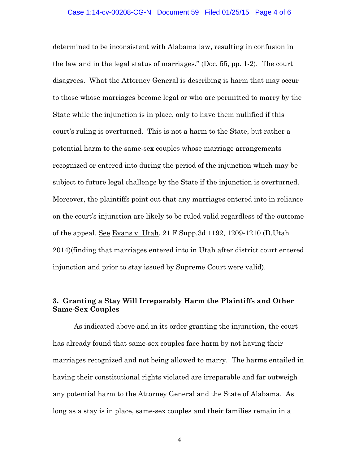#### Case 1:14-cv-00208-CG-N Document 59 Filed 01/25/15 Page 4 of 6

determined to be inconsistent with Alabama law, resulting in confusion in the law and in the legal status of marriages." (Doc. 55, pp. 1-2). The court disagrees. What the Attorney General is describing is harm that may occur to those whose marriages become legal or who are permitted to marry by the State while the injunction is in place, only to have them nullified if this court's ruling is overturned. This is not a harm to the State, but rather a potential harm to the same-sex couples whose marriage arrangements recognized or entered into during the period of the injunction which may be subject to future legal challenge by the State if the injunction is overturned. Moreover, the plaintiffs point out that any marriages entered into in reliance on the court's injunction are likely to be ruled valid regardless of the outcome of the appeal. See Evans v. Utah, 21 F.Supp.3d 1192, 1209-1210 (D.Utah 2014)(finding that marriages entered into in Utah after district court entered injunction and prior to stay issued by Supreme Court were valid).

# **3. Granting a Stay Will Irreparably Harm the Plaintiffs and Other Same-Sex Couples**

As indicated above and in its order granting the injunction, the court has already found that same-sex couples face harm by not having their marriages recognized and not being allowed to marry. The harms entailed in having their constitutional rights violated are irreparable and far outweigh any potential harm to the Attorney General and the State of Alabama. As long as a stay is in place, same-sex couples and their families remain in a

4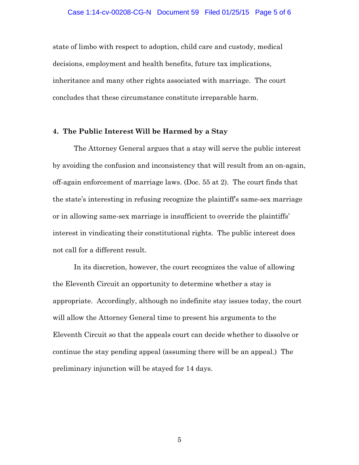state of limbo with respect to adoption, child care and custody, medical decisions, employment and health benefits, future tax implications, inheritance and many other rights associated with marriage. The court concludes that these circumstance constitute irreparable harm.

#### **4. The Public Interest Will be Harmed by a Stay**

The Attorney General argues that a stay will serve the public interest by avoiding the confusion and inconsistency that will result from an on-again, off-again enforcement of marriage laws. (Doc. 55 at 2). The court finds that the state's interesting in refusing recognize the plaintiff's same-sex marriage or in allowing same-sex marriage is insufficient to override the plaintiffs' interest in vindicating their constitutional rights. The public interest does not call for a different result.

In its discretion, however, the court recognizes the value of allowing the Eleventh Circuit an opportunity to determine whether a stay is appropriate. Accordingly, although no indefinite stay issues today, the court will allow the Attorney General time to present his arguments to the Eleventh Circuit so that the appeals court can decide whether to dissolve or continue the stay pending appeal (assuming there will be an appeal.) The preliminary injunction will be stayed for 14 days.

5